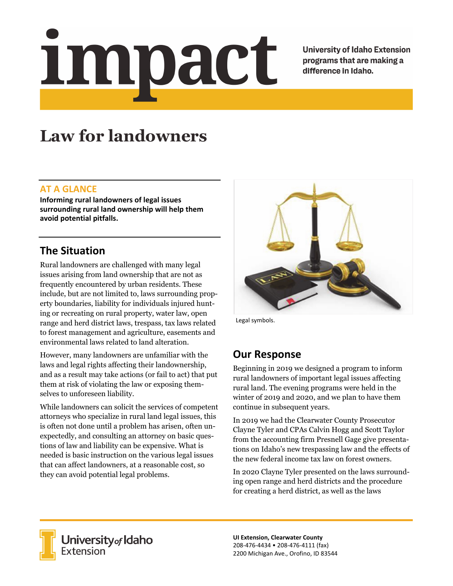# <u>impact</u>

**University of Idaho Extension** programs that are making a difference in Idaho.

# **Law for landowners**

### **AT A GLANCE**

**Informing rural landowners of legal issues surrounding rural land ownership will help them avoid potential pitfalls.** 

## **The Situation**

Rural landowners are challenged with many legal issues arising from land ownership that are not as frequently encountered by urban residents. These include, but are not limited to, laws surrounding property boundaries, liability for individuals injured hunting or recreating on rural property, water law, open range and herd district laws, trespass, tax laws related to forest management and agriculture, easements and environmental laws related to land alteration.

However, many landowners are unfamiliar with the laws and legal rights affecting their landownership, and as a result may take actions (or fail to act) that put them at risk of violating the law or exposing themselves to unforeseen liability.

While landowners can solicit the services of competent attorneys who specialize in rural land legal issues, this is often not done until a problem has arisen, often unexpectedly, and consulting an attorney on basic questions of law and liability can be expensive. What is needed is basic instruction on the various legal issues that can affect landowners, at a reasonable cost, so they can avoid potential legal problems.



Legal symbols.

## **Our Response**

Beginning in 2019 we designed a program to inform rural landowners of important legal issues affecting rural land. The evening programs were held in the winter of 2019 and 2020, and we plan to have them continue in subsequent years.

In 2019 we had the Clearwater County Prosecutor Clayne Tyler and CPAs Calvin Hogg and Scott Taylor from the accounting firm Presnell Gage give presentations on Idaho's new trespassing law and the effects of the new federal income tax law on forest owners.

In 2020 Clayne Tyler presented on the laws surrounding open range and herd districts and the procedure for creating a herd district, as well as the laws



**University** of Idaho<br>Extension

**UI Extension, Clearwater County**  208‐476‐4434 • 208‐476‐4111 (fax) 2200 Michigan Ave., Orofino, ID 83544